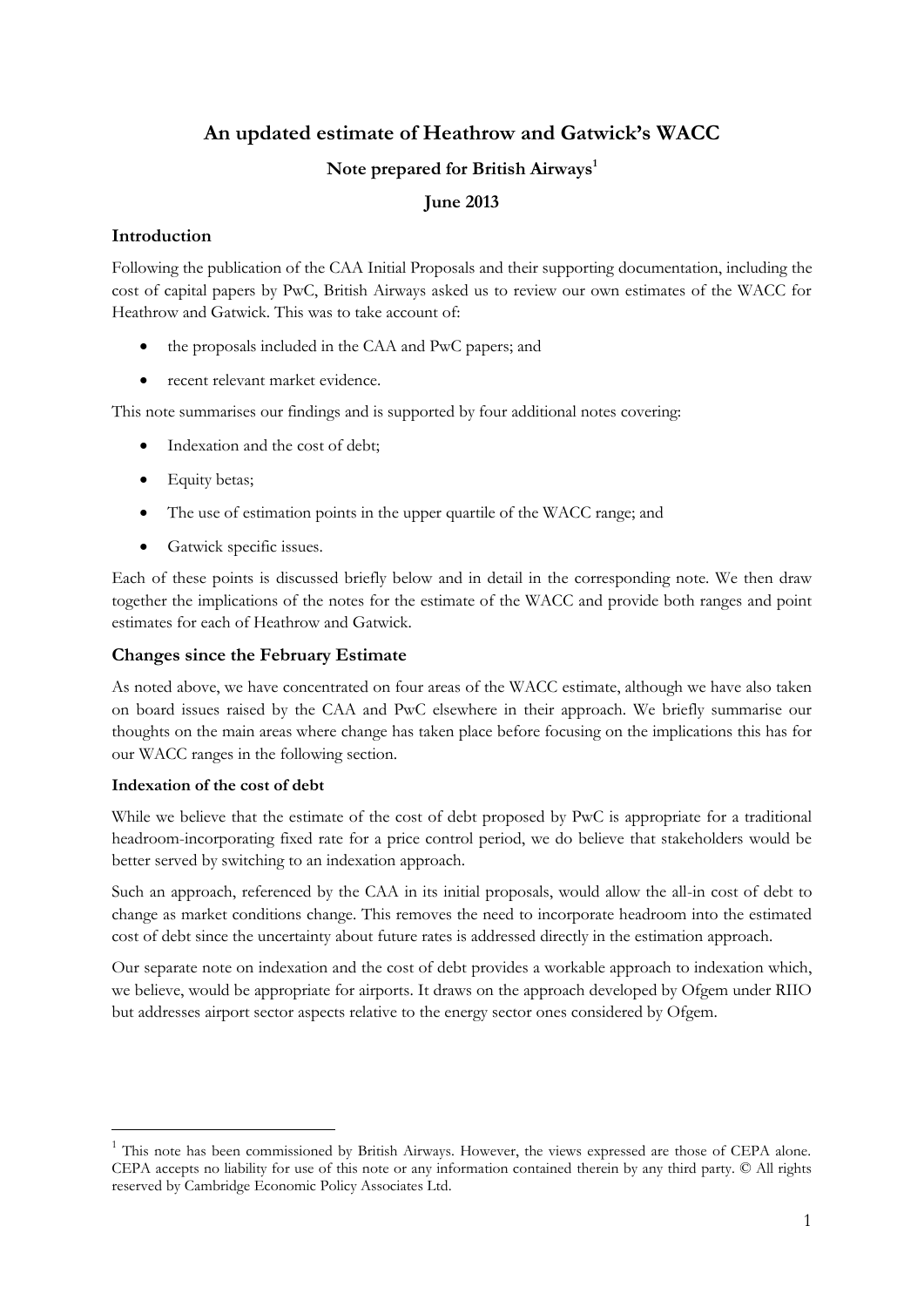# **An updated estimate of Heathrow and Gatwick's WACC**

## **Note prepared for British Airways<sup>1</sup>**

# **June 2013**

### **Introduction**

Following the publication of the CAA Initial Proposals and their supporting documentation, including the cost of capital papers by PwC, British Airways asked us to review our own estimates of the WACC for Heathrow and Gatwick. This was to take account of:

- the proposals included in the CAA and PwC papers; and
- recent relevant market evidence.

This note summarises our findings and is supported by four additional notes covering:

- Indexation and the cost of debt;
- Equity betas;
- The use of estimation points in the upper quartile of the WACC range; and
- Gatwick specific issues.

Each of these points is discussed briefly below and in detail in the corresponding note. We then draw together the implications of the notes for the estimate of the WACC and provide both ranges and point estimates for each of Heathrow and Gatwick.

#### **Changes since the February Estimate**

As noted above, we have concentrated on four areas of the WACC estimate, although we have also taken on board issues raised by the CAA and PwC elsewhere in their approach. We briefly summarise our thoughts on the main areas where change has taken place before focusing on the implications this has for our WACC ranges in the following section.

#### **Indexation of the cost of debt**

-

While we believe that the estimate of the cost of debt proposed by PwC is appropriate for a traditional headroom-incorporating fixed rate for a price control period, we do believe that stakeholders would be better served by switching to an indexation approach.

Such an approach, referenced by the CAA in its initial proposals, would allow the all-in cost of debt to change as market conditions change. This removes the need to incorporate headroom into the estimated cost of debt since the uncertainty about future rates is addressed directly in the estimation approach.

Our separate note on indexation and the cost of debt provides a workable approach to indexation which, we believe, would be appropriate for airports. It draws on the approach developed by Ofgem under RIIO but addresses airport sector aspects relative to the energy sector ones considered by Ofgem.

<sup>&</sup>lt;sup>1</sup> This note has been commissioned by British Airways. However, the views expressed are those of CEPA alone. CEPA accepts no liability for use of this note or any information contained therein by any third party. © All rights reserved by Cambridge Economic Policy Associates Ltd.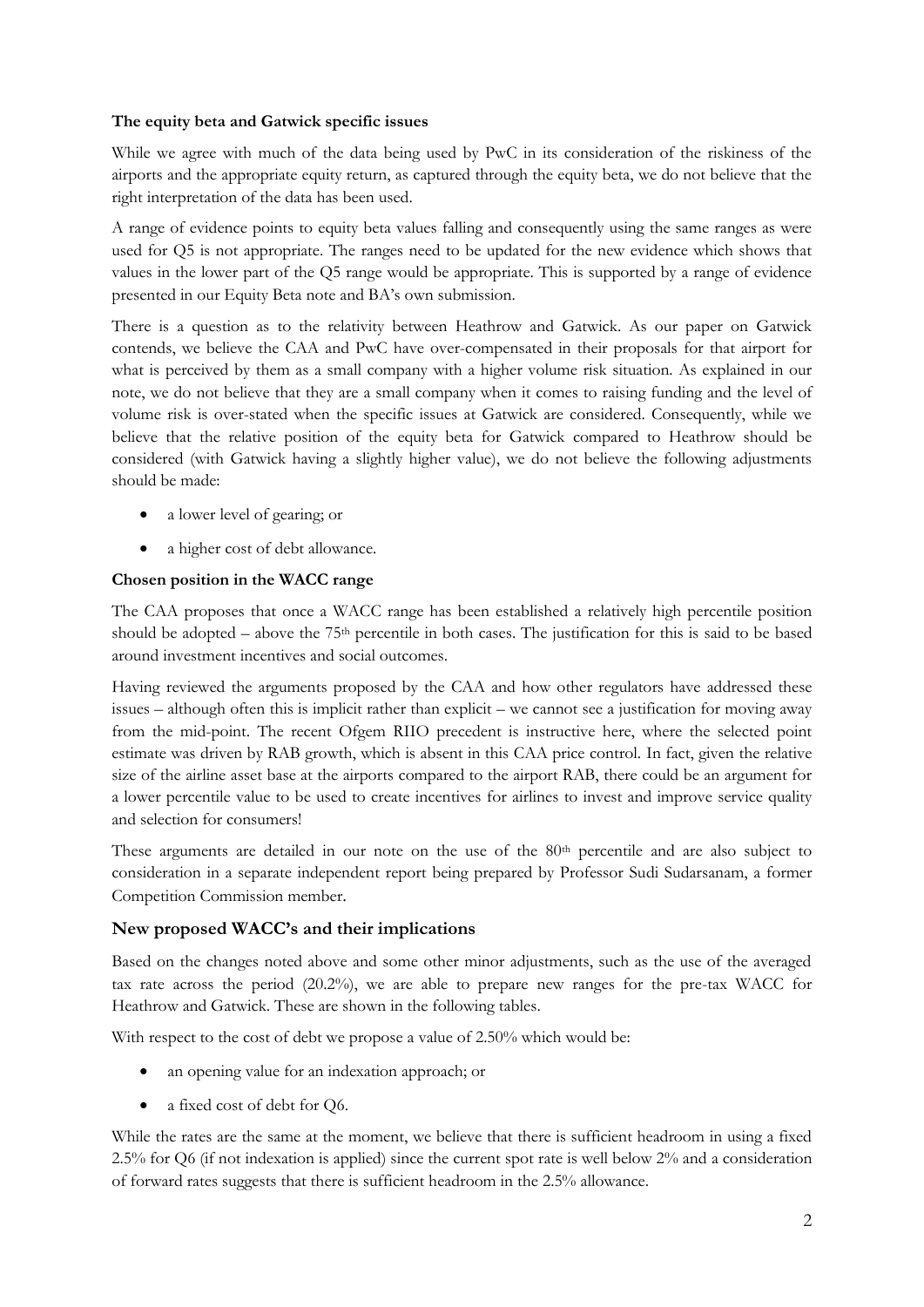#### **The equity beta and Gatwick specific issues**

While we agree with much of the data being used by PwC in its consideration of the riskiness of the airports and the appropriate equity return, as captured through the equity beta, we do not believe that the right interpretation of the data has been used.

A range of evidence points to equity beta values falling and consequently using the same ranges as were used for Q5 is not appropriate. The ranges need to be updated for the new evidence which shows that values in the lower part of the Q5 range would be appropriate. This is supported by a range of evidence presented in our Equity Beta note and BA's own submission.

There is a question as to the relativity between Heathrow and Gatwick. As our paper on Gatwick contends, we believe the CAA and PwC have over-compensated in their proposals for that airport for what is perceived by them as a small company with a higher volume risk situation. As explained in our note, we do not believe that they are a small company when it comes to raising funding and the level of volume risk is over-stated when the specific issues at Gatwick are considered. Consequently, while we believe that the relative position of the equity beta for Gatwick compared to Heathrow should be considered (with Gatwick having a slightly higher value), we do not believe the following adjustments should be made:

- a lower level of gearing; or
- a higher cost of debt allowance.

#### **Chosen position in the WACC range**

The CAA proposes that once a WACC range has been established a relatively high percentile position should be adopted – above the 75th percentile in both cases. The justification for this is said to be based around investment incentives and social outcomes.

Having reviewed the arguments proposed by the CAA and how other regulators have addressed these issues – although often this is implicit rather than explicit – we cannot see a justification for moving away from the mid-point. The recent Ofgem RIIO precedent is instructive here, where the selected point estimate was driven by RAB growth, which is absent in this CAA price control. In fact, given the relative size of the airline asset base at the airports compared to the airport RAB, there could be an argument for a lower percentile value to be used to create incentives for airlines to invest and improve service quality and selection for consumers!

These arguments are detailed in our note on the use of the 80<sup>th</sup> percentile and are also subject to consideration in a separate independent report being prepared by Professor Sudi Sudarsanam, a former Competition Commission member.

#### **New proposed WACC's and their implications**

Based on the changes noted above and some other minor adjustments, such as the use of the averaged tax rate across the period (20.2%), we are able to prepare new ranges for the pre-tax WACC for Heathrow and Gatwick. These are shown in the following tables.

With respect to the cost of debt we propose a value of 2.50% which would be:

- an opening value for an indexation approach; or
- a fixed cost of debt for Q6.

While the rates are the same at the moment, we believe that there is sufficient headroom in using a fixed 2.5% for Q6 (if not indexation is applied) since the current spot rate is well below 2% and a consideration of forward rates suggests that there is sufficient headroom in the 2.5% allowance.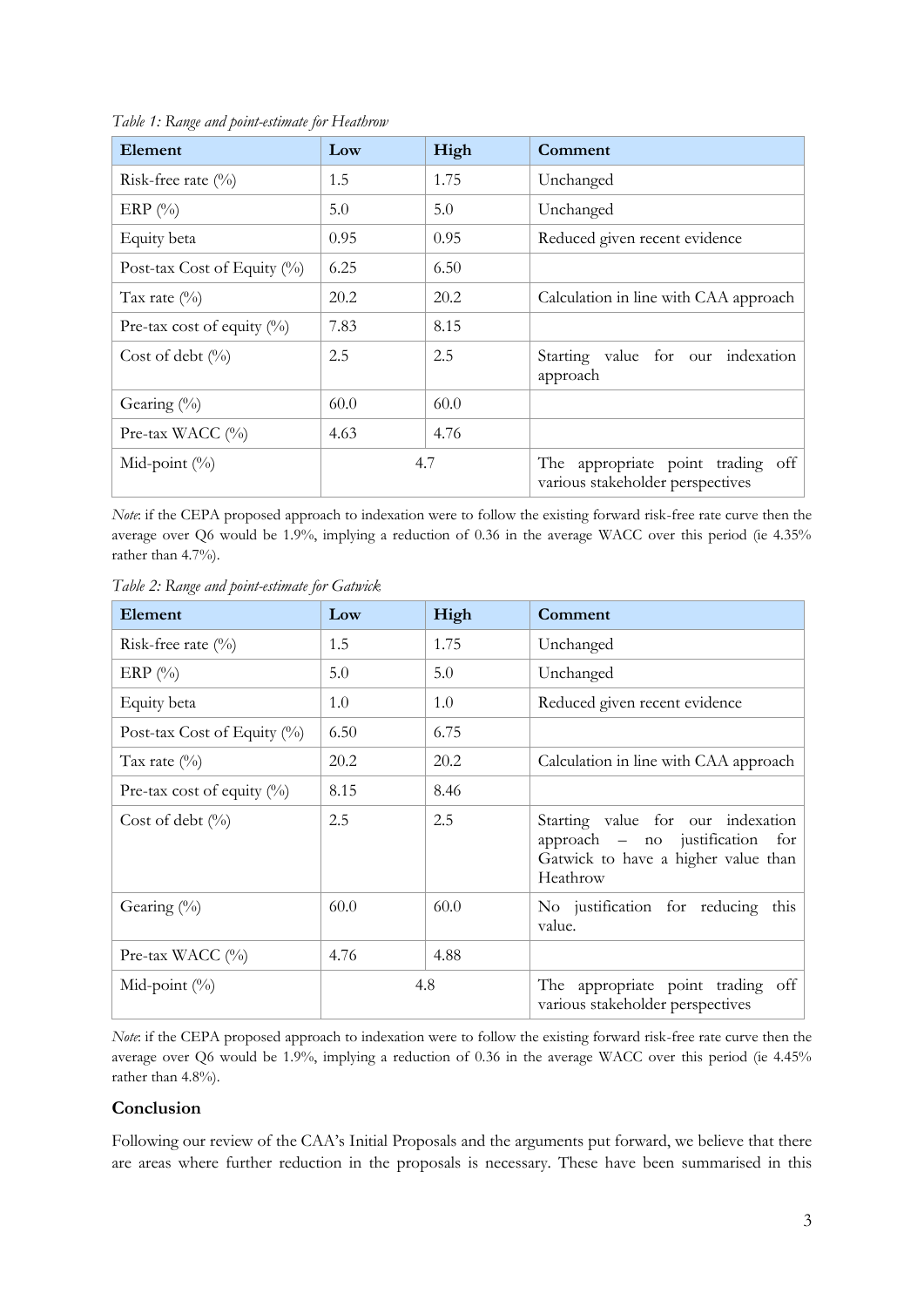| Element                        | Low  | High | Comment                                                               |
|--------------------------------|------|------|-----------------------------------------------------------------------|
| Risk-free rate $(\%)$          | 1.5  | 1.75 | Unchanged                                                             |
| ERP $(\%)$                     | 5.0  | 5.0  | Unchanged                                                             |
| Equity beta                    | 0.95 | 0.95 | Reduced given recent evidence                                         |
| Post-tax Cost of Equity $(\%)$ | 6.25 | 6.50 |                                                                       |
| Tax rate $(\%)$                | 20.2 | 20.2 | Calculation in line with CAA approach                                 |
| Pre-tax cost of equity $(\%)$  | 7.83 | 8.15 |                                                                       |
| Cost of debt $(\%)$            | 2.5  | 2.5  | Starting value for our indexation<br>approach                         |
| Gearing $(\%)$                 | 60.0 | 60.0 |                                                                       |
| Pre-tax WACC (%)               | 4.63 | 4.76 |                                                                       |
| Mid-point $(\%)$               | 4.7  |      | The appropriate point trading off<br>various stakeholder perspectives |

*Table 1: Range and point-estimate for Heathrow*

*Note*: if the CEPA proposed approach to indexation were to follow the existing forward risk-free rate curve then the average over Q6 would be 1.9%, implying a reduction of 0.36 in the average WACC over this period (ie 4.35% rather than 4.7%).

| Element                        | Low  | High | Comment                                                                                                                   |
|--------------------------------|------|------|---------------------------------------------------------------------------------------------------------------------------|
| Risk-free rate $(\%)$          | 1.5  | 1.75 | Unchanged                                                                                                                 |
| ERP $(\%)$                     | 5.0  | 5.0  | Unchanged                                                                                                                 |
| Equity beta                    | 1.0  | 1.0  | Reduced given recent evidence                                                                                             |
| Post-tax Cost of Equity $(\%)$ | 6.50 | 6.75 |                                                                                                                           |
| Tax rate $(\%)$                | 20.2 | 20.2 | Calculation in line with CAA approach                                                                                     |
| Pre-tax cost of equity $(\%)$  | 8.15 | 8.46 |                                                                                                                           |
| Cost of debt $(\%$             | 2.5  | 2.5  | Starting value for our indexation<br>approach $-$ no justification for<br>Gatwick to have a higher value than<br>Heathrow |
| Gearing $(\%)$                 | 60.0 | 60.0 | No justification for reducing this<br>value.                                                                              |
| Pre-tax WACC (%)               | 4.76 | 4.88 |                                                                                                                           |
| Mid-point $(\%)$               | 4.8  |      | The appropriate point trading off<br>various stakeholder perspectives                                                     |

*Table 2: Range and point-estimate for Gatwick*

*Note*: if the CEPA proposed approach to indexation were to follow the existing forward risk-free rate curve then the average over Q6 would be 1.9%, implying a reduction of 0.36 in the average WACC over this period (ie 4.45% rather than 4.8%).

#### **Conclusion**

Following our review of the CAA's Initial Proposals and the arguments put forward, we believe that there are areas where further reduction in the proposals is necessary. These have been summarised in this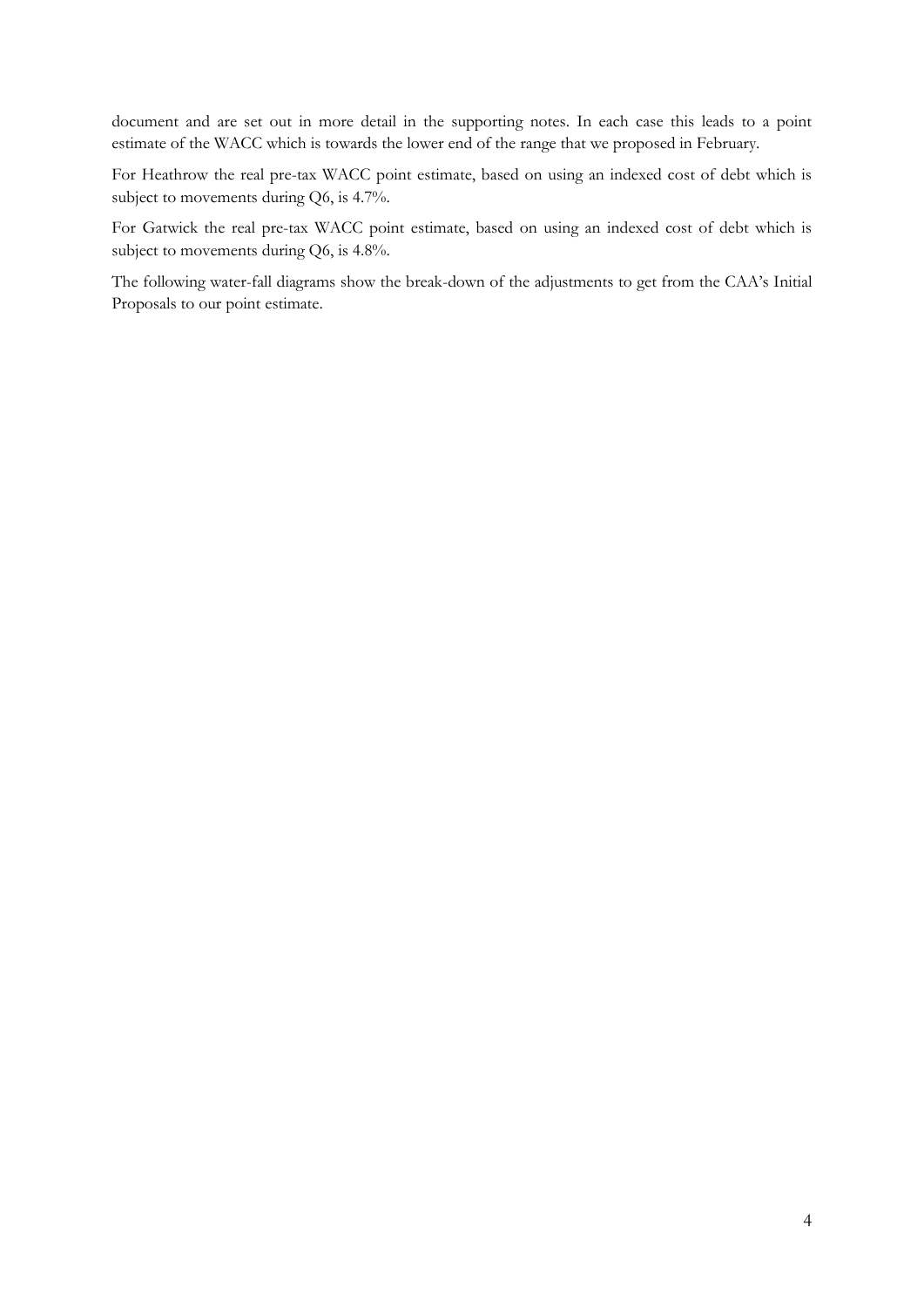document and are set out in more detail in the supporting notes. In each case this leads to a point estimate of the WACC which is towards the lower end of the range that we proposed in February.

For Heathrow the real pre-tax WACC point estimate, based on using an indexed cost of debt which is subject to movements during Q6, is 4.7%.

For Gatwick the real pre-tax WACC point estimate, based on using an indexed cost of debt which is subject to movements during Q6, is 4.8%.

The following water-fall diagrams show the break-down of the adjustments to get from the CAA's Initial Proposals to our point estimate.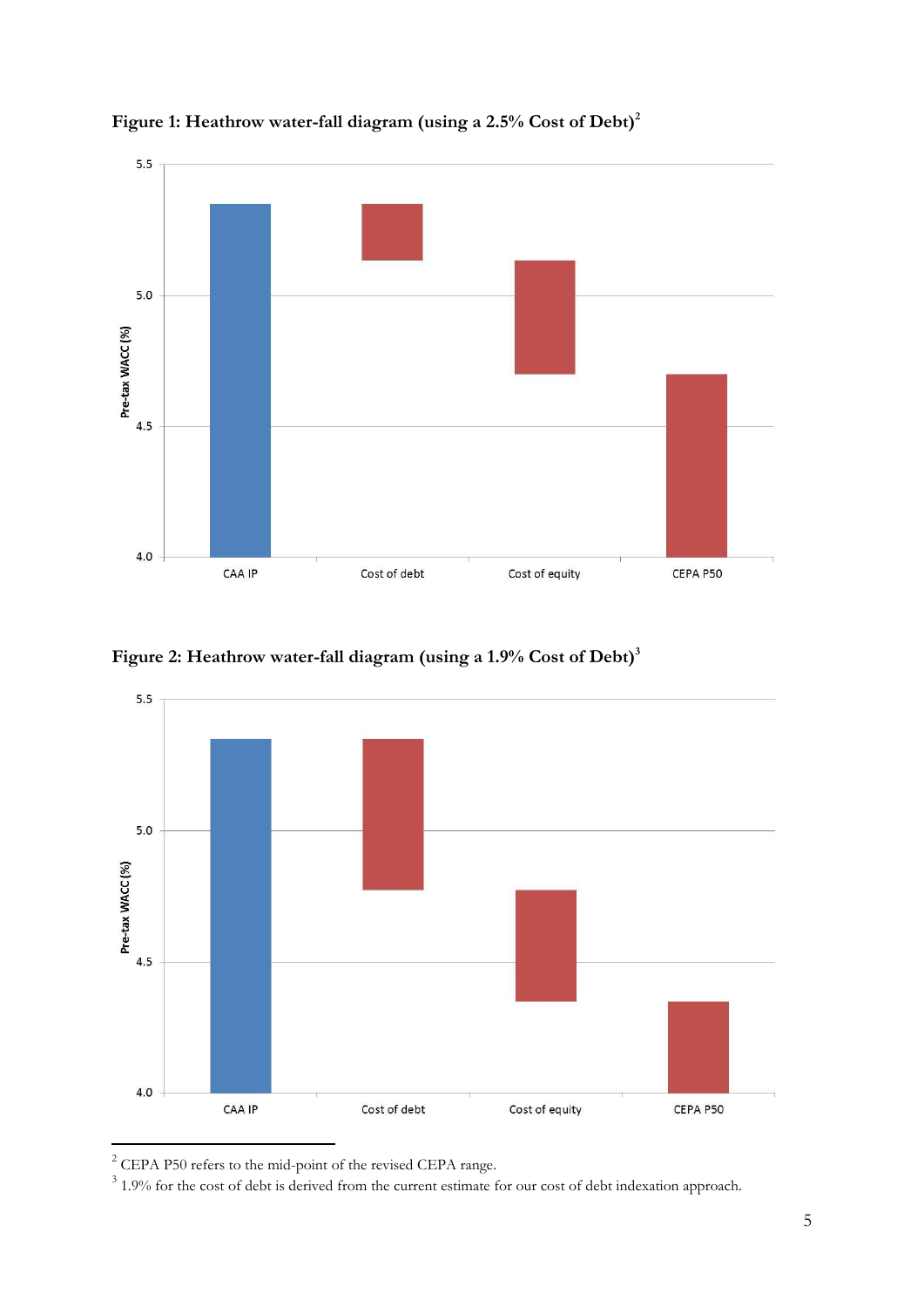







<sup>&</sup>lt;sup>2</sup> CEPA P50 refers to the mid-point of the revised CEPA range.

 $3$  1.9% for the cost of debt is derived from the current estimate for our cost of debt indexation approach.